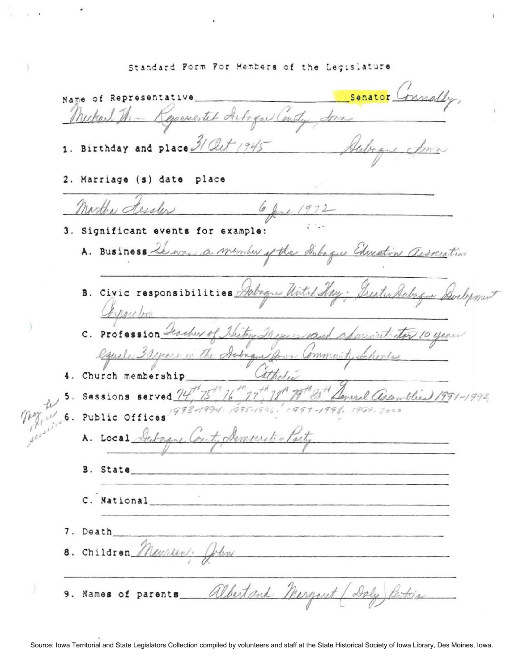Standard Form For Members of the Legislature

Senator Name of Representative The Keywortet Artoque Centy Some 1. Birthday and place 31 Oct 1945 2. Marriage (s) date place Martha dessler 6 June 1972 3. Significant events for example: A. Business Lewas a member of the Subague Chreation association B. Civic responsibilities Salague Until Corporation Sistera 20 mins cand administrator 10 years C. Profession Fercher Cause 3 years in ommunity Schools 4. Church membership 5. Sessions served 6. Public Offices A. Local Artagnel B. State C. National 7. Death 8. Children Manreen. John 9. Names of parents albertand Margaret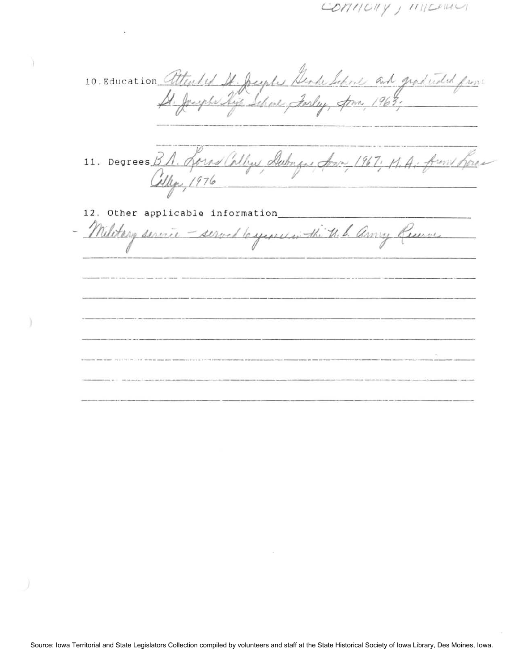$\angle$ OMIOUY, MILLERLY

10. Education attended It Jupes Gende School and graduated from 11. Degrees B.A. Spras Callys Dubague Son 1967; M.A. from Rome 12. Other applicable information\_ Military service - served le servicion the U. S. anny Receive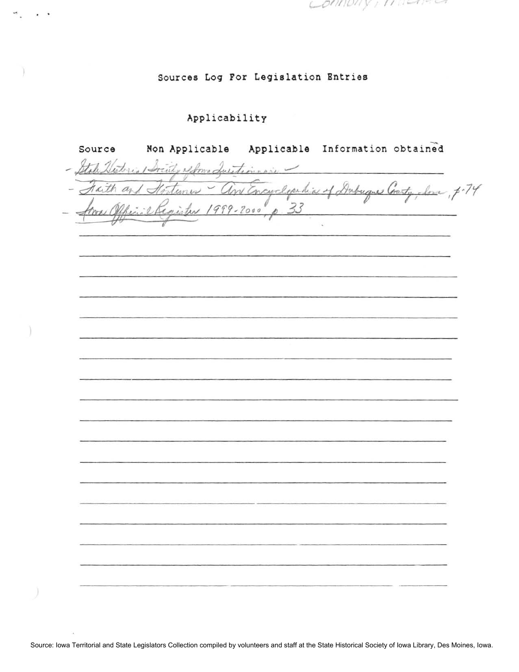panpa y  $1111 - 172$ 

## Sources Log For Legislation Entries

## Applicability

Non Applicable Applicable Information obtained Source ity extra duration in tunes - and Encyclopedia of Dubuques County, Some, p.74 Taith  $a_{i}$  $1999 - 2000$ reter

Source: Iowa Territorial and State Legislators Collection compiled by volunteers and staff at the State Historical Society of Iowa Library, Des Moines, Iowa.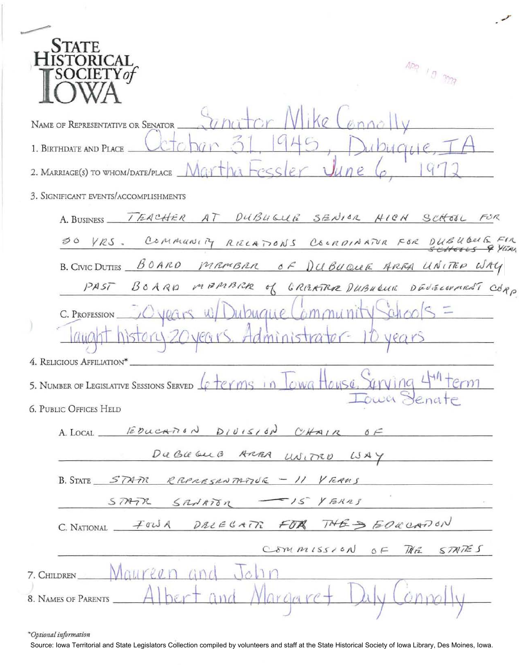\*Optional information

×.

Source: Iowa Territorial and State Legislators Collection compiled by volunteers and staff at the State Historical Society of Iowa Library, Des Moines, Iowa.